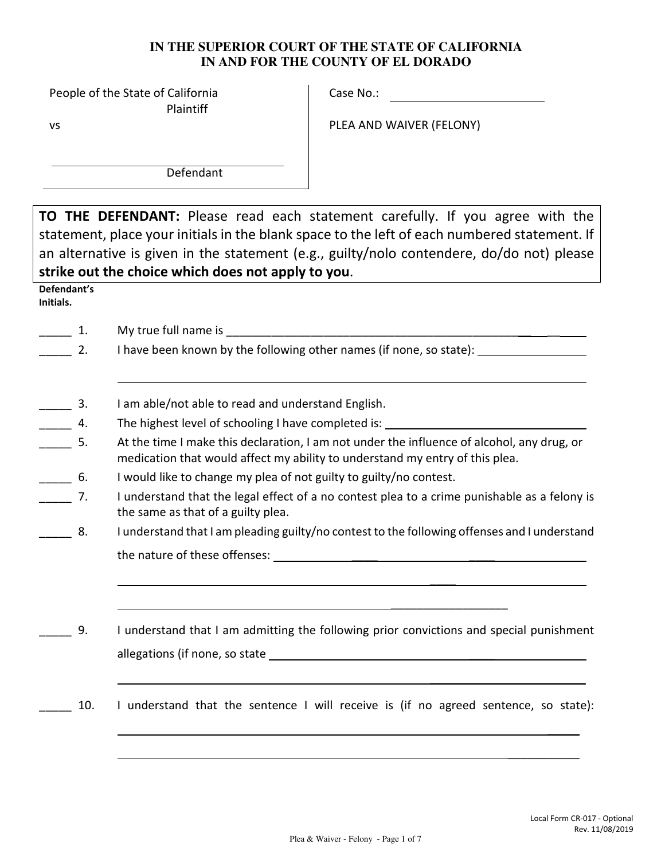#### **IN THE SUPERIOR COURT OF THE STATE OF CALIFORNIA IN AND FOR THE COUNTY OF EL DORADO**

People of the State of California Plaintiff

Case No.: The case of the contract of the contract of the contract of the contract of the contract of the contract of the contract of the contract of the contract of the contract of the contract of the contract of the cont

PLEA AND WAIVER (FELONY)

vs

Defendant

**TO THE DEFENDANT:** Please read each statement carefully. If you agree with the statement, place your initials in the blank space to the left of each numbered statement. If an alternative is given in the statement (e.g., guilty/nolo contendere, do/do not) please **strike out the choice which does not apply to you**.

**Defendant's Initials.** 

- 1. My true full name is
- 2. I have been known by the following other names (if none, so state):
- **\_\_\_\_\_** 3. I am able/not able to read and understand English.
- 4. The highest level of schooling I have completed is:
- 5. At the time I make this declaration, I am not under the influence of alcohol, any drug, or medication that would affect my ability to understand my entry of this plea.
- **6.** I would like to change my plea of not guilty to guilty/no contest.
- **The 2016** 1 understand that the legal effect of a no contest plea to a crime punishable as a felony is the same as that of a guilty plea.
- 8. I understand that I am pleading guilty/no contest to the following offenses and I understand

the nature of these offenses: \_\_\_\_ \_\_\_\_

\_\_\_\_\_ 9. I understand that I am admitting the following prior convictions and special punishment allegations (if none, so state \_\_\_\_

\_\_\_\_\_\_\_\_\_\_\_\_\_\_\_\_\_\_

 $\mathcal{L}=\mathcal{L}=\mathcal{L}=\mathcal{L}=\mathcal{L}=\mathcal{L}=\mathcal{L}=\mathcal{L}=\mathcal{L}=\mathcal{L}=\mathcal{L}=\mathcal{L}=\mathcal{L}=\mathcal{L}=\mathcal{L}=\mathcal{L}=\mathcal{L}=\mathcal{L}=\mathcal{L}=\mathcal{L}=\mathcal{L}=\mathcal{L}=\mathcal{L}=\mathcal{L}=\mathcal{L}=\mathcal{L}=\mathcal{L}=\mathcal{L}=\mathcal{L}=\mathcal{L}=\mathcal{L}=\mathcal{L}=\mathcal{L}=\mathcal{L}=\mathcal{L}=\mathcal{L}=\mathcal{$ 

\_\_\_\_\_ 10. I understand that the sentence I will receive is (if no agreed sentence, so state):

 $\mathcal{L}_\text{max}$  , and the set of the set of the set of the set of the set of the set of the set of the set of the set of the set of the set of the set of the set of the set of the set of the set of the set of the set of the

 $\mathcal{L}_\text{max}$  and  $\mathcal{L}_\text{max}$  are the set of the set of the set of the set of the set of the set of the set of the set of the set of the set of the set of the set of the set of the set of the set of the set of the set o

\_\_\_\_\_\_\_\_\_\_\_\_\_\_\_\_\_\_\_\_\_\_\_\_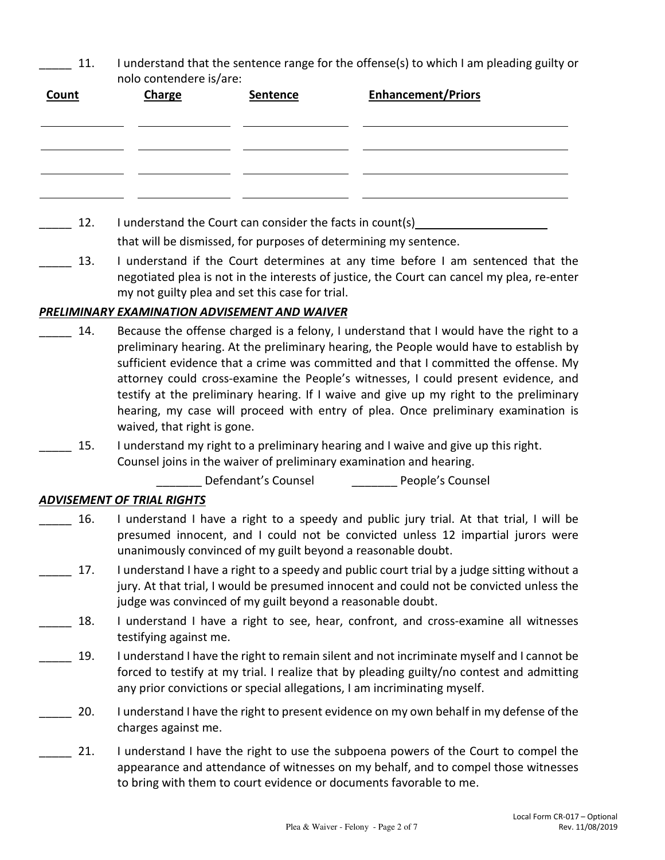\_\_\_\_\_ 11. I understand that the sentence range for the offense(s) to which I am pleading guilty or nolo contendere is/are:

| Count | <b>Charge</b>                                             | Sentence | <b>Enhancement/Priors</b> |
|-------|-----------------------------------------------------------|----------|---------------------------|
|       |                                                           |          |                           |
|       |                                                           |          |                           |
|       |                                                           |          |                           |
|       |                                                           |          |                           |
|       |                                                           |          |                           |
|       |                                                           |          |                           |
|       |                                                           |          |                           |
| 12.   | I understand the Court can consider the facts in count(s) |          |                           |

that will be dismissed, for purposes of determining my sentence.

13. I understand if the Court determines at any time before I am sentenced that the negotiated plea is not in the interests of justice, the Court can cancel my plea, re-enter my not guilty plea and set this case for trial.

## *PRELIMINARY EXAMINATION ADVISEMENT AND WAIVER*

- 14. Because the offense charged is a felony, I understand that I would have the right to a preliminary hearing. At the preliminary hearing, the People would have to establish by sufficient evidence that a crime was committed and that I committed the offense. My attorney could cross-examine the People's witnesses, I could present evidence, and testify at the preliminary hearing. If I waive and give up my right to the preliminary hearing, my case will proceed with entry of plea. Once preliminary examination is waived, that right is gone.
- 15. I understand my right to a preliminary hearing and I waive and give up this right. Counsel joins in the waiver of preliminary examination and hearing.

Defendant's Counsel **Defendant's Counsel People's Counsel** 

## *ADVISEMENT OF TRIAL RIGHTS*

- 16. I understand I have a right to a speedy and public jury trial. At that trial, I will be presumed innocent, and I could not be convicted unless 12 impartial jurors were unanimously convinced of my guilt beyond a reasonable doubt.
- 17. I understand I have a right to a speedy and public court trial by a judge sitting without a jury. At that trial, I would be presumed innocent and could not be convicted unless the judge was convinced of my guilt beyond a reasonable doubt.
- 18. I understand I have a right to see, hear, confront, and cross-examine all witnesses testifying against me.
- 19. I understand I have the right to remain silent and not incriminate myself and I cannot be forced to testify at my trial. I realize that by pleading guilty/no contest and admitting any prior convictions or special allegations, I am incriminating myself.
- 20. I understand I have the right to present evidence on my own behalf in my defense of the charges against me.
- \_\_\_\_\_ 21. I understand I have the right to use the subpoena powers of the Court to compel the appearance and attendance of witnesses on my behalf, and to compel those witnesses to bring with them to court evidence or documents favorable to me.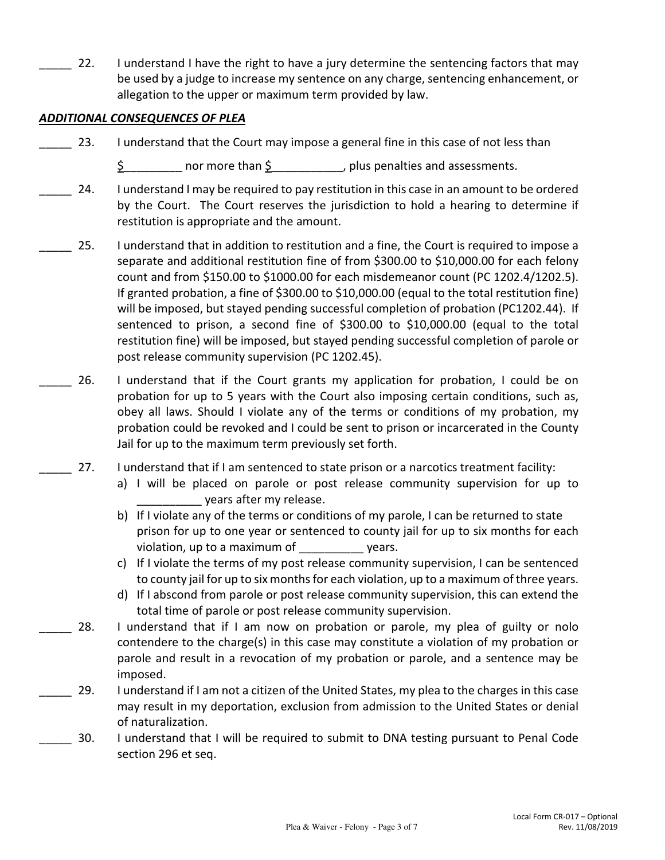22. I understand I have the right to have a jury determine the sentencing factors that may be used by a judge to increase my sentence on any charge, sentencing enhancement, or allegation to the upper or maximum term provided by law.

### *ADDITIONAL CONSEQUENCES OF PLEA*

- 23. I understand that the Court may impose a general fine in this case of not less than
	- $\S$  nor more than  $\S$  [100], plus penalties and assessments.
- 24. I understand I may be required to pay restitution in this case in an amount to be ordered by the Court. The Court reserves the jurisdiction to hold a hearing to determine if restitution is appropriate and the amount.
- 25. I understand that in addition to restitution and a fine, the Court is required to impose a separate and additional restitution fine of from \$300.00 to \$10,000.00 for each felony count and from \$150.00 to \$1000.00 for each misdemeanor count (PC 1202.4/1202.5). If granted probation, a fine of \$300.00 to \$10,000.00 (equal to the total restitution fine) will be imposed, but stayed pending successful completion of probation (PC1202.44). If sentenced to prison, a second fine of \$300.00 to \$10,000.00 (equal to the total restitution fine) will be imposed, but stayed pending successful completion of parole or post release community supervision (PC 1202.45).
- 26. I understand that if the Court grants my application for probation, I could be on probation for up to 5 years with the Court also imposing certain conditions, such as, obey all laws. Should I violate any of the terms or conditions of my probation, my probation could be revoked and I could be sent to prison or incarcerated in the County Jail for up to the maximum term previously set forth.
	- 27. I understand that if I am sentenced to state prison or a narcotics treatment facility:
		- a) I will be placed on parole or post release community supervision for up to \_\_\_\_\_\_\_\_\_\_ years after my release.
		- b) If I violate any of the terms or conditions of my parole, I can be returned to state prison for up to one year or sentenced to county jail for up to six months for each violation, up to a maximum of vears.
		- c) If I violate the terms of my post release community supervision, I can be sentenced to county jail for up to six months for each violation, up to a maximum of three years.
		- d) If I abscond from parole or post release community supervision, this can extend the total time of parole or post release community supervision.
- 28. I understand that if I am now on probation or parole, my plea of guilty or nolo contendere to the charge(s) in this case may constitute a violation of my probation or parole and result in a revocation of my probation or parole, and a sentence may be imposed.
- \_\_\_\_\_ 29. I understand if I am not a citizen of the United States, my plea to the charges in this case may result in my deportation, exclusion from admission to the United States or denial of naturalization.
- 30. I understand that I will be required to submit to DNA testing pursuant to Penal Code section 296 et seq.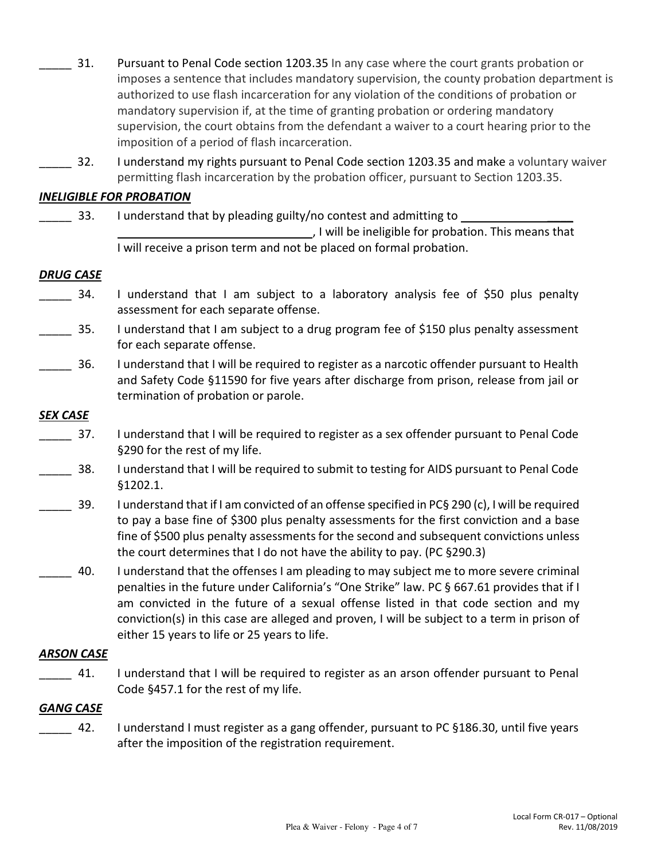- 31. Pursuant to Penal Code section 1203.35 In any case where the court grants probation or imposes a sentence that includes mandatory supervision, the county probation department is authorized to use flash incarceration for any violation of the conditions of probation or mandatory supervision if, at the time of granting probation or ordering mandatory supervision, the court obtains from the defendant a waiver to a court hearing prior to the imposition of a period of flash incarceration.
- 32. I understand my rights pursuant to Penal Code section 1203.35 and make a voluntary waiver permitting flash incarceration by the probation officer, pursuant to Section 1203.35.

#### *INELIGIBLE FOR PROBATION*

33. I understand that by pleading guilty/no contest and admitting to

 , I will be ineligible for probation. This means that I will receive a prison term and not be placed on formal probation.

#### *DRUG CASE*

- \_\_\_\_\_ 34. I understand that I am subject to a laboratory analysis fee of \$50 plus penalty assessment for each separate offense.
- \_\_\_\_\_ 35. I understand that I am subject to a drug program fee of \$150 plus penalty assessment for each separate offense.
- 36. I understand that I will be required to register as a narcotic offender pursuant to Health and Safety Code §11590 for five years after discharge from prison, release from jail or termination of probation or parole.

### *SEX CASE*

- 37. I understand that I will be required to register as a sex offender pursuant to Penal Code §290 for the rest of my life.
- 38. I understand that I will be required to submit to testing for AIDS pursuant to Penal Code §1202.1.
- \_\_\_\_\_ 39. I understand that if I am convicted of an offense specified in PC§ 290 (c), I will be required to pay a base fine of \$300 plus penalty assessments for the first conviction and a base fine of \$500 plus penalty assessments for the second and subsequent convictions unless the court determines that I do not have the ability to pay. (PC §290.3)
- 40. I understand that the offenses I am pleading to may subject me to more severe criminal penalties in the future under California's "One Strike" law. PC § 667.61 provides that if I am convicted in the future of a sexual offense listed in that code section and my conviction(s) in this case are alleged and proven, I will be subject to a term in prison of either 15 years to life or 25 years to life.

#### *ARSON CASE*

\_\_\_\_\_ 41. I understand that I will be required to register as an arson offender pursuant to Penal Code §457.1 for the rest of my life.

#### *GANG CASE*

42. I understand I must register as a gang offender, pursuant to PC §186.30, until five years after the imposition of the registration requirement.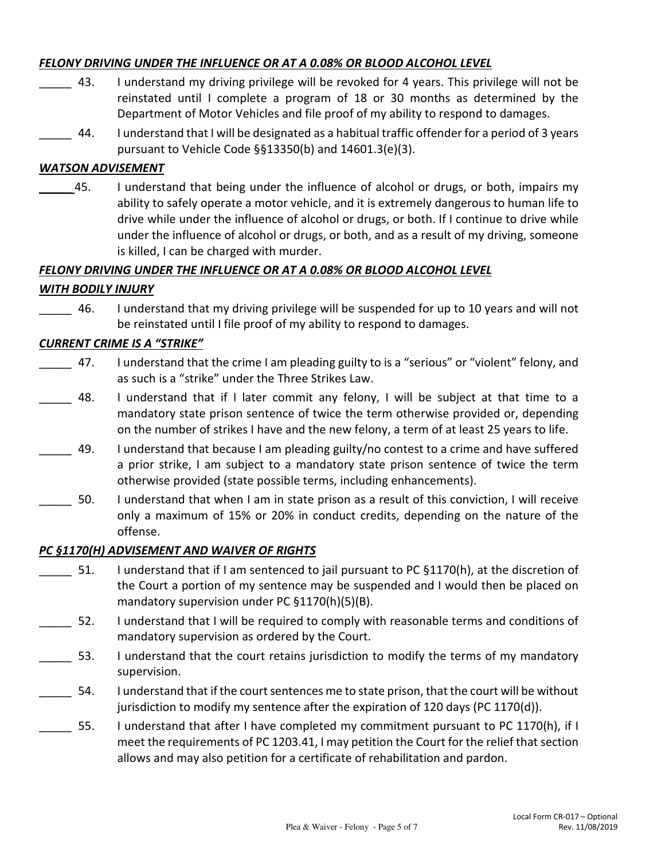### *FELONY DRIVING UNDER THE INFLUENCE OR AT A 0.08% OR BLOOD ALCOHOL LEVEL*

- 43. I understand my driving privilege will be revoked for 4 years. This privilege will not be reinstated until I complete a program of 18 or 30 months as determined by the Department of Motor Vehicles and file proof of my ability to respond to damages.
- \_\_\_\_\_ 44. I understand that I will be designated as a habitual traffic offender for a period of 3 years pursuant to Vehicle Code §§13350(b) and 14601.3(e)(3).

#### *WATSON ADVISEMENT*

\_\_\_\_\_ 45. I understand that being under the influence of alcohol or drugs, or both, impairs my ability to safely operate a motor vehicle, and it is extremely dangerous to human life to drive while under the influence of alcohol or drugs, or both. If I continue to drive while under the influence of alcohol or drugs, or both, and as a result of my driving, someone is killed, I can be charged with murder.

#### *FELONY DRIVING UNDER THE INFLUENCE OR AT A 0.08% OR BLOOD ALCOHOL LEVEL*

#### *WITH BODILY INJURY*

46. I understand that my driving privilege will be suspended for up to 10 years and will not be reinstated until I file proof of my ability to respond to damages.

#### *CURRENT CRIME IS A "STRIKE"*

- 47. I understand that the crime I am pleading guilty to is a "serious" or "violent" felony, and as such is a "strike" under the Three Strikes Law.
- 48. I understand that if I later commit any felony, I will be subject at that time to a mandatory state prison sentence of twice the term otherwise provided or, depending on the number of strikes I have and the new felony, a term of at least 25 years to life.
- \_\_\_\_\_ 49. I understand that because I am pleading guilty/no contest to a crime and have suffered a prior strike, I am subject to a mandatory state prison sentence of twice the term otherwise provided (state possible terms, including enhancements).
- \_\_\_\_\_ 50. I understand that when I am in state prison as a result of this conviction, I will receive only a maximum of 15% or 20% in conduct credits, depending on the nature of the offense.

#### *PC §1170(H) ADVISEMENT AND WAIVER OF RIGHTS*

- 51. I understand that if I am sentenced to jail pursuant to PC §1170(h), at the discretion of the Court a portion of my sentence may be suspended and I would then be placed on mandatory supervision under PC §1170(h)(5)(B).
- 52. I understand that I will be required to comply with reasonable terms and conditions of mandatory supervision as ordered by the Court.
- 13. I understand that the court retains jurisdiction to modify the terms of my mandatory supervision.
- \_\_\_\_\_ 54. I understand that if the court sentences me to state prison, that the court will be without jurisdiction to modify my sentence after the expiration of 120 days (PC 1170(d)).
- 55. I understand that after I have completed my commitment pursuant to PC 1170(h), if I meet the requirements of PC 1203.41, I may petition the Court for the relief that section allows and may also petition for a certificate of rehabilitation and pardon.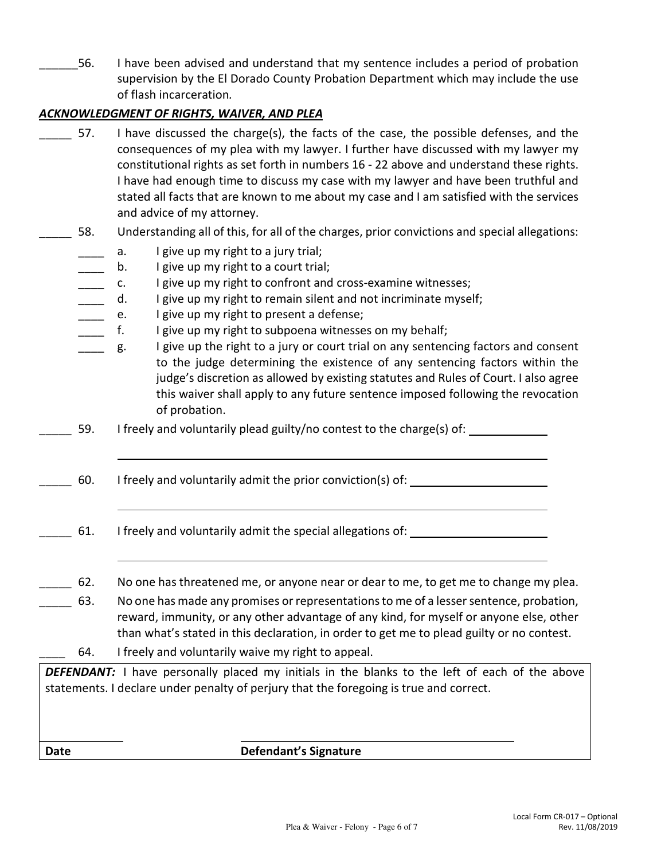56. I have been advised and understand that my sentence includes a period of probation supervision by the El Dorado County Probation Department which may include the use of flash incarceration*.* 

## *ACKNOWLEDGMENT OF RIGHTS, WAIVER, AND PLEA*

- 57. I have discussed the charge(s), the facts of the case, the possible defenses, and the consequences of my plea with my lawyer. I further have discussed with my lawyer my constitutional rights as set forth in numbers 16 - 22 above and understand these rights. I have had enough time to discuss my case with my lawyer and have been truthful and stated all facts that are known to me about my case and I am satisfied with the services and advice of my attorney.
- 58. Understanding all of this, for all of the charges, prior convictions and special allegations:
	- a. I give up my right to a jury trial;
	- b. I give up my right to a court trial;
	- c. I give up my right to confront and cross-examine witnesses;
	- d. I give up my right to remain silent and not incriminate myself;
	- e. I give up my right to present a defense;
	- f. I give up my right to subpoena witnesses on my behalf;
	- g. I give up the right to a jury or court trial on any sentencing factors and consent to the judge determining the existence of any sentencing factors within the judge's discretion as allowed by existing statutes and Rules of Court. I also agree this waiver shall apply to any future sentence imposed following the revocation of probation.

59. I freely and voluntarily plead guilty/no contest to the charge(s) of:

\_\_\_\_\_ 60. I freely and voluntarily admit the prior conviction(s) of:

- 61. I freely and voluntarily admit the special allegations of:
- 62. No one has threatened me, or anyone near or dear to me, to get me to change my plea.
- \_\_\_\_\_ 63. No one has made any promises or representations to me of a lesser sentence, probation, reward, immunity, or any other advantage of any kind, for myself or anyone else, other than what's stated in this declaration, in order to get me to plead guilty or no contest.
	- 64. I freely and voluntarily waive my right to appeal.

**DEFENDANT:** I have personally placed my initials in the blanks to the left of each of the above statements. I declare under penalty of perjury that the foregoing is true and correct.

 $\overline{\phantom{a}}$ 

**Date** Defendant's Signature